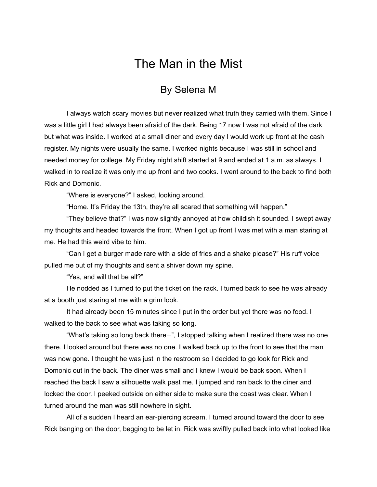## The Man in the Mist

## By Selena M

I always watch scary movies but never realized what truth they carried with them. Since I was a little girl I had always been afraid of the dark. Being 17 now I was not afraid of the dark but what was inside. I worked at a small diner and every day I would work up front at the cash register. My nights were usually the same. I worked nights because I was still in school and needed money for college. My Friday night shift started at 9 and ended at 1 a.m. as always. I walked in to realize it was only me up front and two cooks. I went around to the back to find both Rick and Domonic.

"Where is everyone?" I asked, looking around.

"Home. It's Friday the 13th, they're all scared that something will happen."

"They believe that?" I was now slightly annoyed at how childish it sounded. I swept away my thoughts and headed towards the front. When I got up front I was met with a man staring at me. He had this weird vibe to him.

"Can I get a burger made rare with a side of fries and a shake please?" His ruff voice pulled me out of my thoughts and sent a shiver down my spine.

"Yes, and will that be all?"

He nodded as I turned to put the ticket on the rack. I turned back to see he was already at a booth just staring at me with a grim look.

It had already been 15 minutes since I put in the order but yet there was no food. I walked to the back to see what was taking so long.

"What's taking so long back there—", I stopped talking when I realized there was no one there. I looked around but there was no one. I walked back up to the front to see that the man was now gone. I thought he was just in the restroom so I decided to go look for Rick and Domonic out in the back. The diner was small and I knew I would be back soon. When I reached the back I saw a silhouette walk past me. I jumped and ran back to the diner and locked the door. I peeked outside on either side to make sure the coast was clear. When I turned around the man was still nowhere in sight.

All of a sudden I heard an ear-piercing scream. I turned around toward the door to see Rick banging on the door, begging to be let in. Rick was swiftly pulled back into what looked like